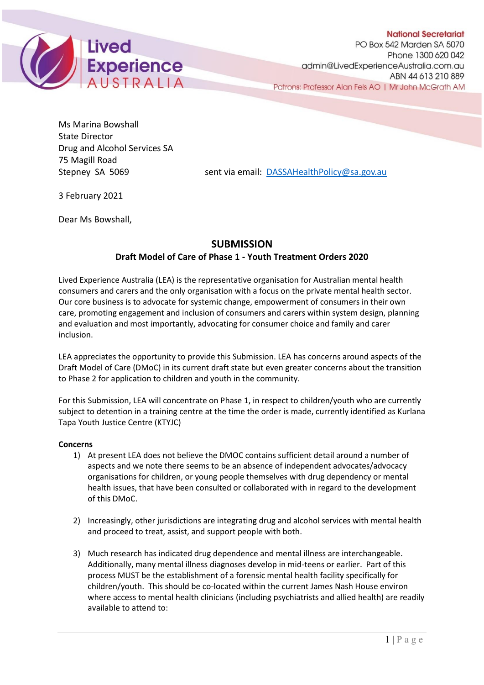

Ms Marina Bowshall State Director Drug and Alcohol Services SA 75 Magill Road

Stepney SA 5069 sent via email: [DASSAHealthPolicy@sa.gov.au](mailto:DASSAHealthPolicy@sa.gov.au)

3 February 2021

Dear Ms Bowshall,

## **SUBMISSION Draft Model of Care of Phase 1 - Youth Treatment Orders 2020**

Lived Experience Australia (LEA) is the representative organisation for Australian mental health consumers and carers and the only organisation with a focus on the private mental health sector. Our core business is to advocate for systemic change, empowerment of consumers in their own care, promoting engagement and inclusion of consumers and carers within system design, planning and evaluation and most importantly, advocating for consumer choice and family and carer inclusion.

LEA appreciates the opportunity to provide this Submission. LEA has concerns around aspects of the Draft Model of Care (DMoC) in its current draft state but even greater concerns about the transition to Phase 2 for application to children and youth in the community.

For this Submission, LEA will concentrate on Phase 1, in respect to children/youth who are currently subject to detention in a training centre at the time the order is made, currently identified as Kurlana Tapa Youth Justice Centre (KTYJC)

## **Concerns**

- 1) At present LEA does not believe the DMOC contains sufficient detail around a number of aspects and we note there seems to be an absence of independent advocates/advocacy organisations for children, or young people themselves with drug dependency or mental health issues, that have been consulted or collaborated with in regard to the development of this DMoC.
- 2) Increasingly, other jurisdictions are integrating drug and alcohol services with mental health and proceed to treat, assist, and support people with both.
- 3) Much research has indicated drug dependence and mental illness are interchangeable. Additionally, many mental illness diagnoses develop in mid-teens or earlier. Part of this process MUST be the establishment of a forensic mental health facility specifically for children/youth. This should be co-located within the current James Nash House environ where access to mental health clinicians (including psychiatrists and allied health) are readily available to attend to: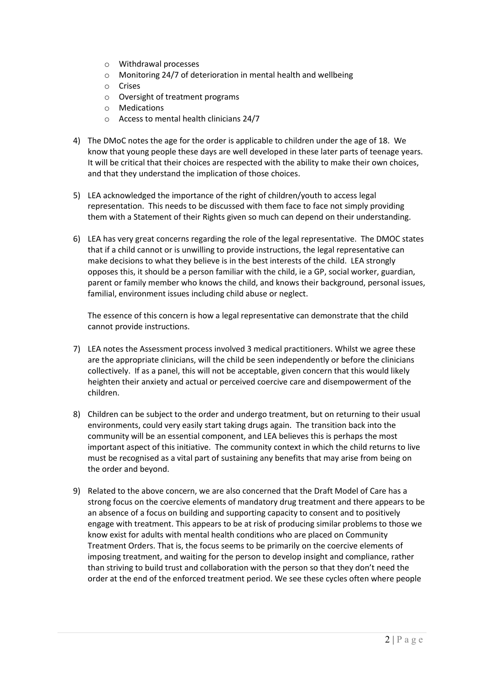- o Withdrawal processes
- o Monitoring 24/7 of deterioration in mental health and wellbeing
- o Crises
- o Oversight of treatment programs
- o Medications
- o Access to mental health clinicians 24/7
- 4) The DMoC notes the age for the order is applicable to children under the age of 18. We know that young people these days are well developed in these later parts of teenage years. It will be critical that their choices are respected with the ability to make their own choices, and that they understand the implication of those choices.
- 5) LEA acknowledged the importance of the right of children/youth to access legal representation. This needs to be discussed with them face to face not simply providing them with a Statement of their Rights given so much can depend on their understanding.
- 6) LEA has very great concerns regarding the role of the legal representative. The DMOC states that if a child cannot or is unwilling to provide instructions, the legal representative can make decisions to what they believe is in the best interests of the child. LEA strongly opposes this, it should be a person familiar with the child, ie a GP, social worker, guardian, parent or family member who knows the child, and knows their background, personal issues, familial, environment issues including child abuse or neglect.

The essence of this concern is how a legal representative can demonstrate that the child cannot provide instructions.

- 7) LEA notes the Assessment process involved 3 medical practitioners. Whilst we agree these are the appropriate clinicians, will the child be seen independently or before the clinicians collectively. If as a panel, this will not be acceptable, given concern that this would likely heighten their anxiety and actual or perceived coercive care and disempowerment of the children.
- 8) Children can be subject to the order and undergo treatment, but on returning to their usual environments, could very easily start taking drugs again. The transition back into the community will be an essential component, and LEA believes this is perhaps the most important aspect of this initiative. The community context in which the child returns to live must be recognised as a vital part of sustaining any benefits that may arise from being on the order and beyond.
- 9) Related to the above concern, we are also concerned that the Draft Model of Care has a strong focus on the coercive elements of mandatory drug treatment and there appears to be an absence of a focus on building and supporting capacity to consent and to positively engage with treatment. This appears to be at risk of producing similar problems to those we know exist for adults with mental health conditions who are placed on Community Treatment Orders. That is, the focus seems to be primarily on the coercive elements of imposing treatment, and waiting for the person to develop insight and compliance, rather than striving to build trust and collaboration with the person so that they don't need the order at the end of the enforced treatment period. We see these cycles often where people